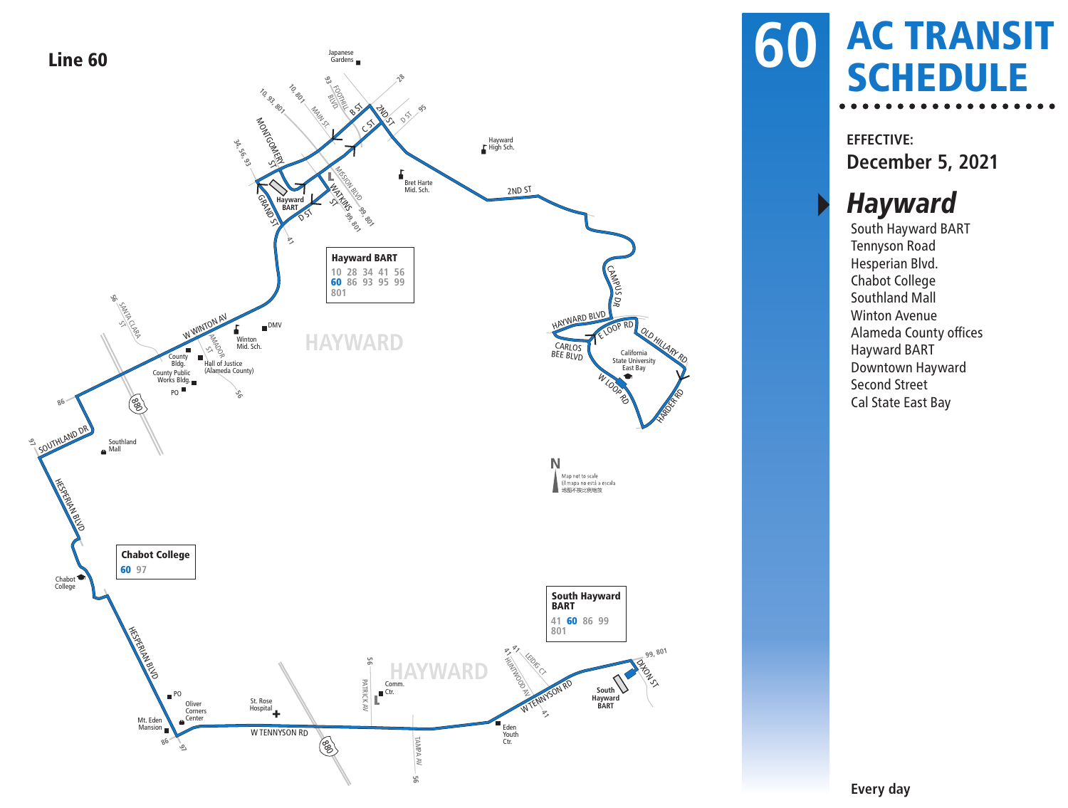

### AC TRANSIT **60 AC TRANSE**

**EFFECTIVE: December 5, 2021**

#### **Hayward**

South Hayward BART Tennyson Road Hesperian Blvd. Chabot College Southland Mall Winton Avenue Alameda County offices Hayward BART Downtown Hayward Second Street Cal State East Bay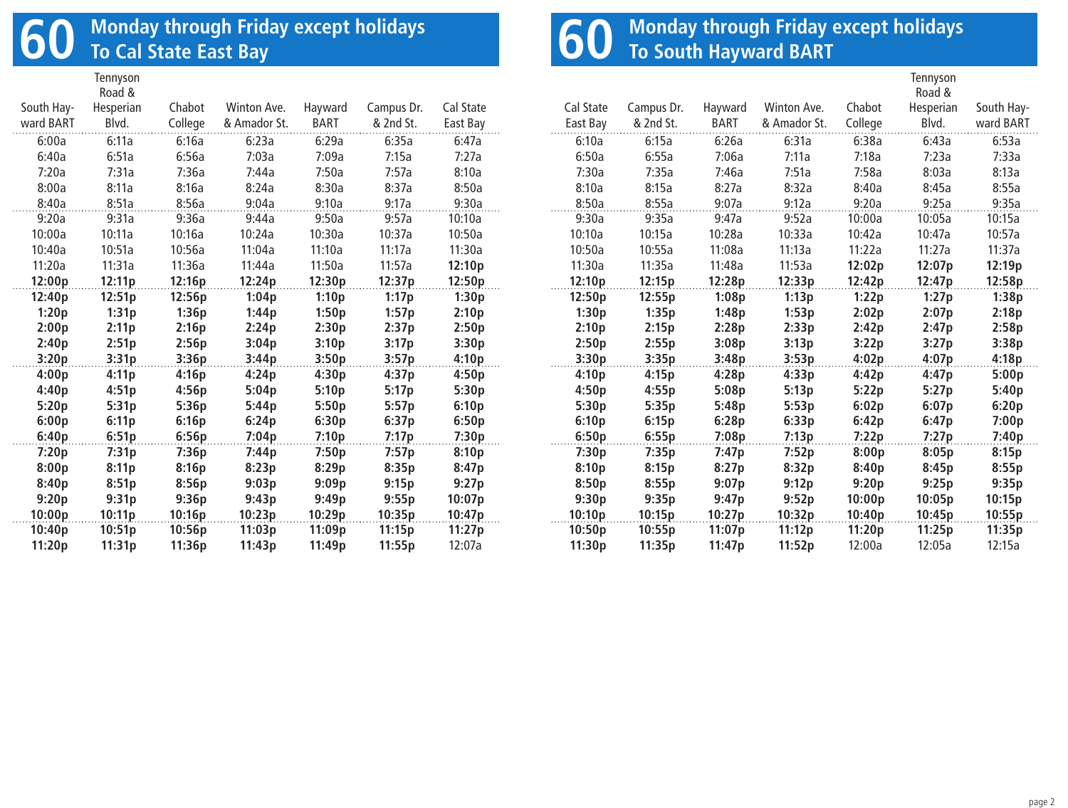# **60 Monday through Friday except holidays To Cal State East Bay**

|            | Tennyson<br>Road & |         |              |             |            |           |
|------------|--------------------|---------|--------------|-------------|------------|-----------|
| South Hay- | Hesperian          | Chabot  | Winton Ave.  | Hayward     | Campus Dr. | Cal State |
| ward BART  | Blvd.              | College | & Amador St. | <b>BART</b> | & 2nd St.  | East Bay  |
| 6:00a      | 6:11a              | 6:16a   | 6:23a        | 6:29a       | 6:35a      | 6:47a     |
| 6:40a      | 6:51a              | 6:56a   | 7:03a        | 7:09a       | 7:15a      | 7:27a     |
| 7:20a      | 7:31a              | 7:36a   | 7:44a        | 7:50a       | 7:57a      | 8:10a     |
| 8:00a      | 8:11a              | 8:16a   | 8:24a        | 8:30a       | 8:37a      | 8:50a     |
| 8:40a      | 8:51a              | 8:56a   | 9:04a        | 9:10a       | 9:17a      | 9:30a     |
| 9:20a      | 9:31a              | 9:36a   | 9:44a        | 9:50a       | 9:57a      | 10:10a    |
| 10:00a     | 10:11a             | 10:16a  | 10:24a       | 10:30a      | 10:37a     | 10:50a    |
| 10:40a     | 10:51a             | 10:56a  | 11:04a       | 11:10a      | 11:17a     | 11:30a    |
| 11:20a     | 11:31a             | 11:36a  | 11:44a       | 11:50a      | 11:57a     | 12:10p    |
| 12:00p     | 12:11p             | 12:16p  | 12:24p       | 12:30p      | 12:37p     | 12:50p    |
| 12:40p     | 12:51p             | 12:56p  | 1:04p        | 1:10p       | 1:17p      | 1:30p     |
| 1:20p      | 1:31p              | 1:36p   | 1:44p        | 1:50p       | 1:57p      | 2:10p     |
| 2:00p      | 2:11p              | 2:16p   | 2:24p        | 2:30p       | 2:37p      | 2:50p     |
| 2:40p      | 2:51p              | 2:56p   | 3:04p        | 3:10p       | 3:17p      | 3:30p     |
| 3:20p      | 3:31p              | 3:36p   | 3:44p        | 3:50p       | 3:57p      | 4:10p     |
| 4:00p      | 4:11p              | 4:16p   | 4:24p        | 4:30p       | 4:37p      | 4:50p     |
| 4:40p      | 4:51p              | 4:56p   | 5:04p        | 5:10p       | 5:17p      | 5:30p     |
| 5:20p      | 5:31p              | 5:36p   | 5:44p        | 5:50p       | 5:57p      | 6:10p     |
| 6:00p      | 6:11p              | 6:16p   | 6:24p        | 6:30p       | 6:37p      | 6:50p     |
| 6:40p      | 6:51p              | 6:56p   | 7:04p        | 7:10p       | 7:17p      | 7:30p     |
| 7:20p      | 7:31p              | 7:36p   | 7:44p        | 7:50p       | 7:57p      | 8:10p     |
| 8:00p      | 8:11p              | 8:16p   | 8:23p        | 8:29p       | 8:35p      | 8:47p     |
| 8:40p      | 8:51p              | 8:56p   | 9:03p        | 9:09p       | 9:15p      | 9:27p     |
| 9:20p      | 9:31p              | 9:36p   | 9:43p        | 9:49p       | 9:55p      | 10:07p    |
| 10:00p     | 10:11p             | 10:16p  | 10:23p       | 10:29p      | 10:35p     | 10:47p    |
| 10:40p     | 10:51p             | 10:56p  | 11:03p       | 11:09p      | 11:15p     | 11:27p    |
| 11:20p     | 11:31p             | 11:36p  | 11:43p       | 11:49p      | 11:55p     | 12:07a    |

# **60** Monday through Friday except holidays<br> **60** To South Hayward BART

|           |            |             |              |         | Tennyson  |            |
|-----------|------------|-------------|--------------|---------|-----------|------------|
|           |            |             |              |         | Road &    |            |
| Cal State | Campus Dr. | Hayward     | Winton Ave.  | Chabot  | Hesperian | South Hay- |
| East Bay  | & 2nd St.  | <b>BART</b> | & Amador St. | College | Blvd.     | ward BART  |
| 6:10a     | 6:15a      | 6:26a       | 6:31a        | 6:38a   | 6:43a     | 6:53a      |
| 6:50a     | 6:55a      | 7:06a       | 7:11a        | 7:18a   | 7:23a     | 7:33a      |
| 7:30a     | 7:35a      | 7:46a       | 7:51a        | 7:58a   | 8:03a     | 8:13a      |
| 8:10a     | 8:15a      | 8:27a       | 8:32a        | 8:40a   | 8:45a     | 8:55a      |
| 8:50a     | 8:55a      | 9:07a       | 9:12a        | 9:20a   | 9:25a     | 9:35a      |
| 9:30a     | 9:35a      | 9:47a       | 9:52a        | 10:00a  | 10:05a    | 10:15a     |
| 10:10a    | 10:15a     | 10:28a      | 10:33a       | 10:42a  | 10:47a    | 10:57a     |
| 10:50a    | 10:55a     | 11:08a      | 11:13a       | 11:22a  | 11:27a    | 11:37a     |
| 11:30a    | 11:35a     | 11:48a      | 11:53a       | 12:02p  | 12:07p    | 12:19p     |
| 12:10p    | 12:15p     | 12:28p      | 12:33p       | 12:42p  | 12:47p    | 12:58p     |
| 12:50p    | 12:55p     | 1:08p       | 1:13p        | 1:22p   | 1:27p     | 1:38p      |
| 1:30p     | 1:35p      | 1:48p       | 1:53p        | 2:02p   | 2:07p     | 2:18p      |
| 2:10p     | 2:15p      | 2:28p       | 2:33p        | 2:42p   | 2:47p     | 2:58p      |
| 2:50p     | 2:55p      | 3:08p       | 3:13p        | 3:22p   | 3:27p     | 3:38p      |
| 3:30p     | 3:35p      | 3:48p       | 3:53p        | 4:02p   | 4:07p     | 4:18p      |
| 4:10p     | 4:15p      | 4:28p       | 4:33p        | 4:42p   | 4:47p     | 5:00p      |
| 4:50p     | 4:55p      | 5:08p       | 5:13p        | 5:22p   | 5:27p     | 5:40p      |
| 5:30p     | 5:35p      | 5:48p       | 5:53p        | 6:02p   | 6:07p     | 6:20p      |
| 6:10p     | 6:15p      | 6:28p       | 6:33p        | 6:42p   | 6:47p     | 7:00p      |
| 6:50p     | 6:55p      | 7:08p       | 7:13p        | 7:22p   | 7:27p     | 7:40p      |
| 7:30p     | 7:35p      | 7:47p       | 7:52p        | 8:00p   | 8:05p     | 8:15p      |
| 8:10p     | 8:15p      | 8:27p       | 8:32p        | 8:40p   | 8:45p     | 8:55p      |
| 8:50p     | 8:55p      | 9:07p       | 9:12p        | 9:20p   | 9:25p     | 9:35p      |
| 9:30p     | 9:35p      | 9:47p       | 9:52p        | 10:00p  | 10:05p    | 10:15p     |
| 10:10p    | 10:15p     | 10:27p      | 10:32p       | 10:40p  | 10:45p    | 10:55p     |
| 10:50p    | 10:55p     | 11:07p      | 11:12p       | 11:20p  | 11:25p    | 11:35p     |
| 11:30p    | 11:35p     | 11:47p      | 11:52p       | 12:00a  | 12:05a    | 12:15a     |